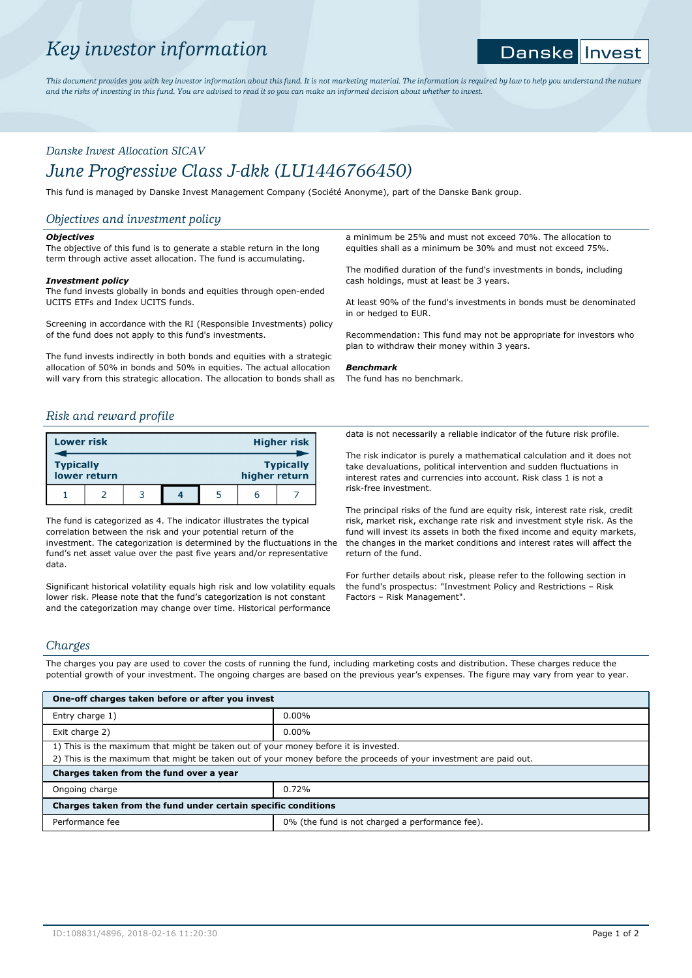# *Key investor information*

#### **Danske** |Invest

*This document provides you with key investor information about this fund. It is not marketing material. The information is required by law to help you understand the nature and the risks of investing in this fund. You are advised to read it so you can make an informed decision about whether to invest.*

# *Danske Invest Allocation SICAV June Progressive Class J-dkk (LU1446766450)*

This fund is managed by Danske Invest Management Company (Société Anonyme), part of the Danske Bank group.

# *Objectives and investment policy*

#### *Objectives*

The objective of this fund is to generate a stable return in the long term through active asset allocation. The fund is accumulating.

#### *Investment policy*

The fund invests globally in bonds and equities through open-ended UCITS ETFs and Index UCITS funds.

Screening in accordance with the RI (Responsible Investments) policy of the fund does not apply to this fund's investments.

The fund invests indirectly in both bonds and equities with a strategic allocation of 50% in bonds and 50% in equities. The actual allocation will vary from this strategic allocation. The allocation to bonds shall as

# *Risk and reward profile*

| Lower risk                                                            |  |  |  |  |  | <b>Higher risk</b> |
|-----------------------------------------------------------------------|--|--|--|--|--|--------------------|
| <b>Typically</b><br><b>Typically</b><br>lower return<br>higher return |  |  |  |  |  |                    |
|                                                                       |  |  |  |  |  |                    |

The fund is categorized as 4. The indicator illustrates the typical correlation between the risk and your potential return of the investment. The categorization is determined by the fluctuations in the fund's net asset value over the past five years and/or representative data.

Significant historical volatility equals high risk and low volatility equals lower risk. Please note that the fund's categorization is not constant and the categorization may change over time. Historical performance

a minimum be 25% and must not exceed 70%. The allocation to equities shall as a minimum be 30% and must not exceed 75%.

The modified duration of the fund's investments in bonds, including cash holdings, must at least be 3 years.

At least 90% of the fund's investments in bonds must be denominated in or hedged to EUR.

Recommendation: This fund may not be appropriate for investors who plan to withdraw their money within 3 years.

#### *Benchmark*

The fund has no benchmark.

data is not necessarily a reliable indicator of the future risk profile.

The risk indicator is purely a mathematical calculation and it does not take devaluations, political intervention and sudden fluctuations in interest rates and currencies into account. Risk class 1 is not a risk-free investment.

The principal risks of the fund are equity risk, interest rate risk, credit risk, market risk, exchange rate risk and investment style risk. As the fund will invest its assets in both the fixed income and equity markets, the changes in the market conditions and interest rates will affect the return of the fund.

For further details about risk, please refer to the following section in the fund's prospectus: "Investment Policy and Restrictions – Risk Factors – Risk Management".

# *Charges*

The charges you pay are used to cover the costs of running the fund, including marketing costs and distribution. These charges reduce the potential growth of your investment. The ongoing charges are based on the previous year's expenses. The figure may vary from year to year.

| One-off charges taken before or after you invest                                                                  |                                                 |  |  |  |  |
|-------------------------------------------------------------------------------------------------------------------|-------------------------------------------------|--|--|--|--|
| Entry charge 1)                                                                                                   | $0.00\%$                                        |  |  |  |  |
| Exit charge 2)                                                                                                    | $0.00\%$                                        |  |  |  |  |
| 1) This is the maximum that might be taken out of your money before it is invested.                               |                                                 |  |  |  |  |
| 2) This is the maximum that might be taken out of your money before the proceeds of your investment are paid out. |                                                 |  |  |  |  |
| Charges taken from the fund over a year                                                                           |                                                 |  |  |  |  |
| Ongoing charge                                                                                                    | 0.72%                                           |  |  |  |  |
| Charges taken from the fund under certain specific conditions                                                     |                                                 |  |  |  |  |
| Performance fee                                                                                                   | 0% (the fund is not charged a performance fee). |  |  |  |  |